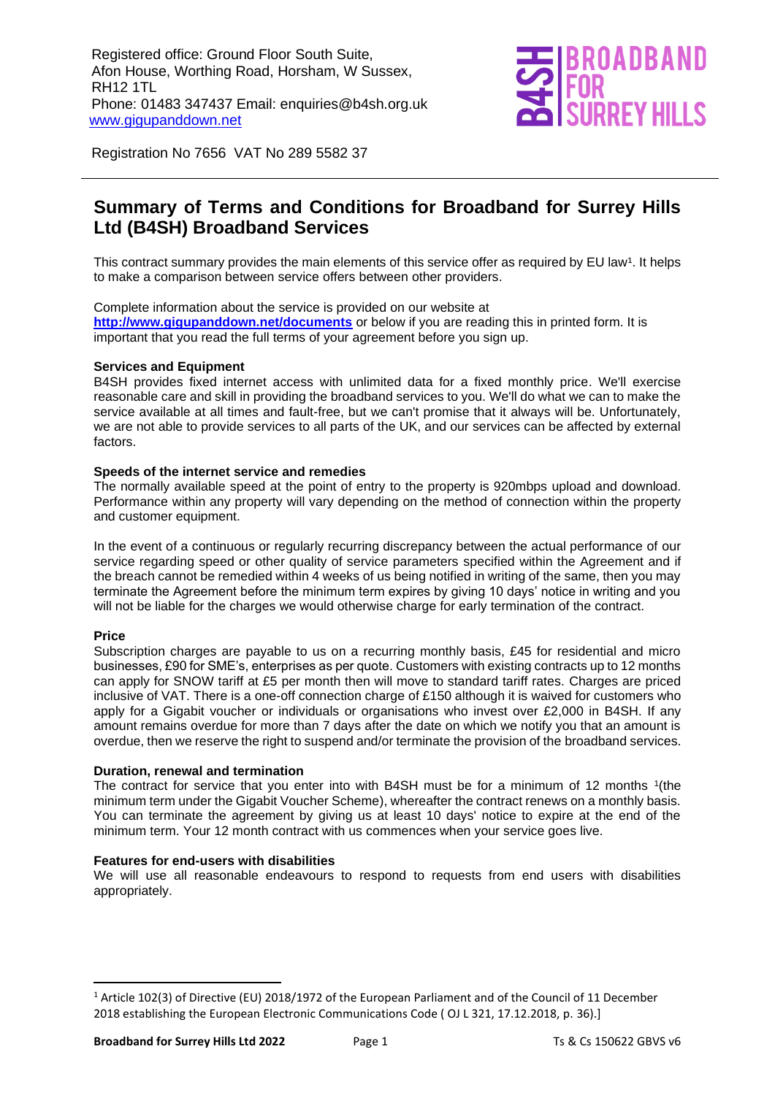

Registration No 7656 VAT No 289 5582 37

## **Summary of Terms and Conditions for Broadband for Surrey Hills Ltd (B4SH) Broadband Services**

This contract summary provides the main elements of this service offer as required by EU law<sup>1</sup>. It helps to make a comparison between service offers between other providers.

Complete information about the service is provided on our website at **<http://www.gigupanddown.net/documents>** or below if you are reading this in printed form. It is important that you read the full terms of your agreement before you sign up.

#### **Services and Equipment**

B4SH provides fixed internet access with unlimited data for a fixed monthly price. We'll exercise reasonable care and skill in providing the broadband services to you. We'll do what we can to make the service available at all times and fault-free, but we can't promise that it always will be. Unfortunately, we are not able to provide services to all parts of the UK, and our services can be affected by external factors.

#### **Speeds of the internet service and remedies**

The normally available speed at the point of entry to the property is 920mbps upload and download. Performance within any property will vary depending on the method of connection within the property and customer equipment.

In the event of a continuous or regularly recurring discrepancy between the actual performance of our service regarding speed or other quality of service parameters specified within the Agreement and if the breach cannot be remedied within 4 weeks of us being notified in writing of the same, then you may terminate the Agreement before the minimum term expires by giving 10 days' notice in writing and you will not be liable for the charges we would otherwise charge for early termination of the contract.

#### **Price**

Subscription charges are payable to us on a recurring monthly basis, £45 for residential and micro businesses, £90 for SME's, enterprises as per quote. Customers with existing contracts up to 12 months can apply for SNOW tariff at £5 per month then will move to standard tariff rates. Charges are priced inclusive of VAT. There is a one-off connection charge of £150 although it is waived for customers who apply for a Gigabit voucher or individuals or organisations who invest over £2,000 in B4SH. If any amount remains overdue for more than 7 days after the date on which we notify you that an amount is overdue, then we reserve the right to suspend and/or terminate the provision of the broadband services.

#### **Duration, renewal and termination**

The contract for service that you enter into with B4SH must be for a minimum of 12 months <sup>1</sup>(the minimum term under the Gigabit Voucher Scheme), whereafter the contract renews on a monthly basis. You can terminate the agreement by giving us at least 10 days' notice to expire at the end of the minimum term. Your 12 month contract with us commences when your service goes live.

#### **Features for end-users with disabilities**

We will use all reasonable endeavours to respond to requests from end users with disabilities appropriately.

<sup>1</sup> Article 102(3) of Directive (EU) 2018/1972 of the European Parliament and of the Council of 11 December 2018 establishing the European Electronic Communications Code ( OJ L 321, 17.12.2018, p. 36).]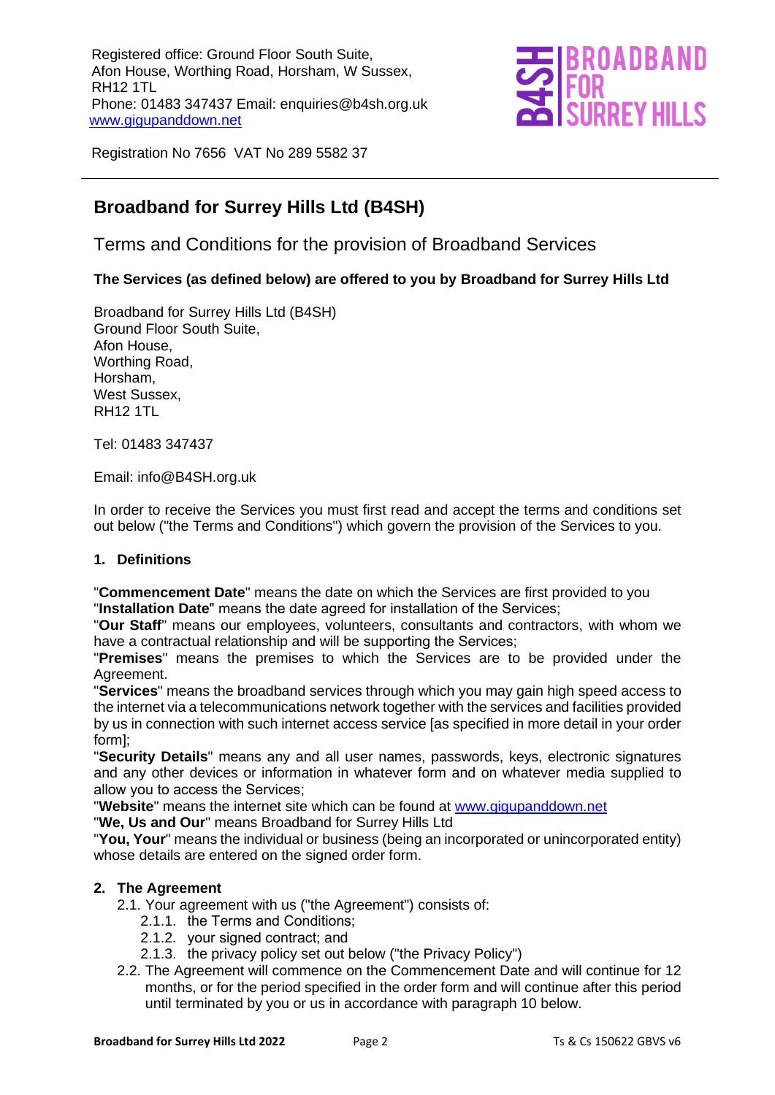

Registration No 7656 VAT No 289 5582 37

## **Broadband for Surrey Hills Ltd (B4SH)**

Terms and Conditions for the provision of Broadband Services

## **The Services (as defined below) are offered to you by Broadband for Surrey Hills Ltd**

Broadband for Surrey Hills Ltd (B4SH) Ground Floor South Suite, Afon House, Worthing Road, Horsham, West Sussex, RH12 1TL

Tel: 01483 347437

Email: info@B4SH.org.uk

In order to receive the Services you must first read and accept the terms and conditions set out below ("the Terms and Conditions") which govern the provision of the Services to you.

#### **1. Definitions**

"**Commencement Date**" means the date on which the Services are first provided to you "**Installation Date**" means the date agreed for installation of the Services;

"**Our Staff**" means our employees, volunteers, consultants and contractors, with whom we have a contractual relationship and will be supporting the Services;

"**Premises**" means the premises to which the Services are to be provided under the Agreement.

"**Services**" means the broadband services through which you may gain high speed access to the internet via a telecommunications network together with the services and facilities provided by us in connection with such internet access service [as specified in more detail in your order form];

"**Security Details**" means any and all user names, passwords, keys, electronic signatures and any other devices or information in whatever form and on whatever media supplied to allow you to access the Services;

"**Website**" means the internet site which can be found at [www.gigupanddown.net](http://www.gigupanddown.net/)

"**We, Us and Our**" means Broadband for Surrey Hills Ltd

"**You, Your**" means the individual or business (being an incorporated or unincorporated entity) whose details are entered on the signed order form.

#### **2. The Agreement**

2.1. Your agreement with us ("the Agreement") consists of:

- 2.1.1. the Terms and Conditions;
- 2.1.2. your signed contract; and
- 2.1.3. the privacy policy set out below ("the Privacy Policy")
- 2.2. The Agreement will commence on the Commencement Date and will continue for 12 months, or for the period specified in the order form and will continue after this period until terminated by you or us in accordance with paragraph 10 below.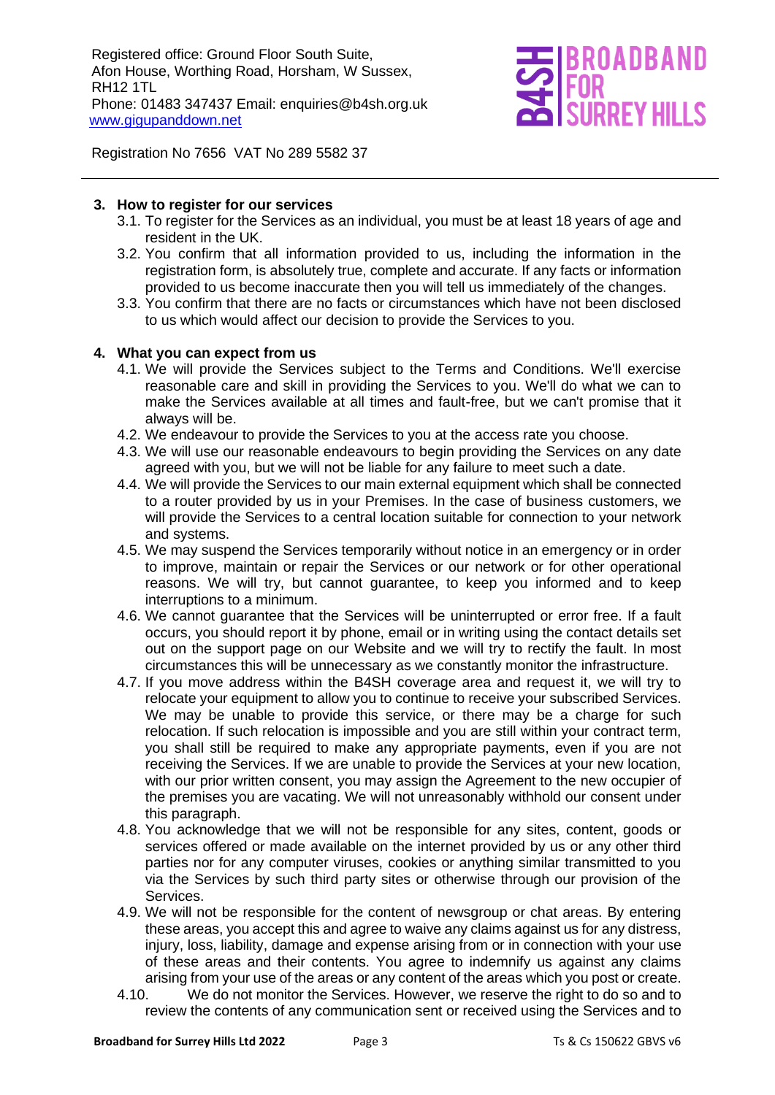

Registration No 7656 VAT No 289 5582 37

#### **3. How to register for our services**

- 3.1. To register for the Services as an individual, you must be at least 18 years of age and resident in the UK.
- 3.2. You confirm that all information provided to us, including the information in the registration form, is absolutely true, complete and accurate. If any facts or information provided to us become inaccurate then you will tell us immediately of the changes.
- 3.3. You confirm that there are no facts or circumstances which have not been disclosed to us which would affect our decision to provide the Services to you.

#### **4. What you can expect from us**

- 4.1. We will provide the Services subject to the Terms and Conditions. We'll exercise reasonable care and skill in providing the Services to you. We'll do what we can to make the Services available at all times and fault-free, but we can't promise that it always will be.
- 4.2. We endeavour to provide the Services to you at the access rate you choose.
- 4.3. We will use our reasonable endeavours to begin providing the Services on any date agreed with you, but we will not be liable for any failure to meet such a date.
- 4.4. We will provide the Services to our main external equipment which shall be connected to a router provided by us in your Premises. In the case of business customers, we will provide the Services to a central location suitable for connection to your network and systems.
- 4.5. We may suspend the Services temporarily without notice in an emergency or in order to improve, maintain or repair the Services or our network or for other operational reasons. We will try, but cannot guarantee, to keep you informed and to keep interruptions to a minimum.
- 4.6. We cannot guarantee that the Services will be uninterrupted or error free. If a fault occurs, you should report it by phone, email or in writing using the contact details set out on the support page on our Website and we will try to rectify the fault. In most circumstances this will be unnecessary as we constantly monitor the infrastructure.
- 4.7. If you move address within the B4SH coverage area and request it, we will try to relocate your equipment to allow you to continue to receive your subscribed Services. We may be unable to provide this service, or there may be a charge for such relocation. If such relocation is impossible and you are still within your contract term, you shall still be required to make any appropriate payments, even if you are not receiving the Services. If we are unable to provide the Services at your new location, with our prior written consent, you may assign the Agreement to the new occupier of the premises you are vacating. We will not unreasonably withhold our consent under this paragraph.
- 4.8. You acknowledge that we will not be responsible for any sites, content, goods or services offered or made available on the internet provided by us or any other third parties nor for any computer viruses, cookies or anything similar transmitted to you via the Services by such third party sites or otherwise through our provision of the Services.
- 4.9. We will not be responsible for the content of newsgroup or chat areas. By entering these areas, you accept this and agree to waive any claims against us for any distress, injury, loss, liability, damage and expense arising from or in connection with your use of these areas and their contents. You agree to indemnify us against any claims arising from your use of the areas or any content of the areas which you post or create.
- 4.10. We do not monitor the Services. However, we reserve the right to do so and to review the contents of any communication sent or received using the Services and to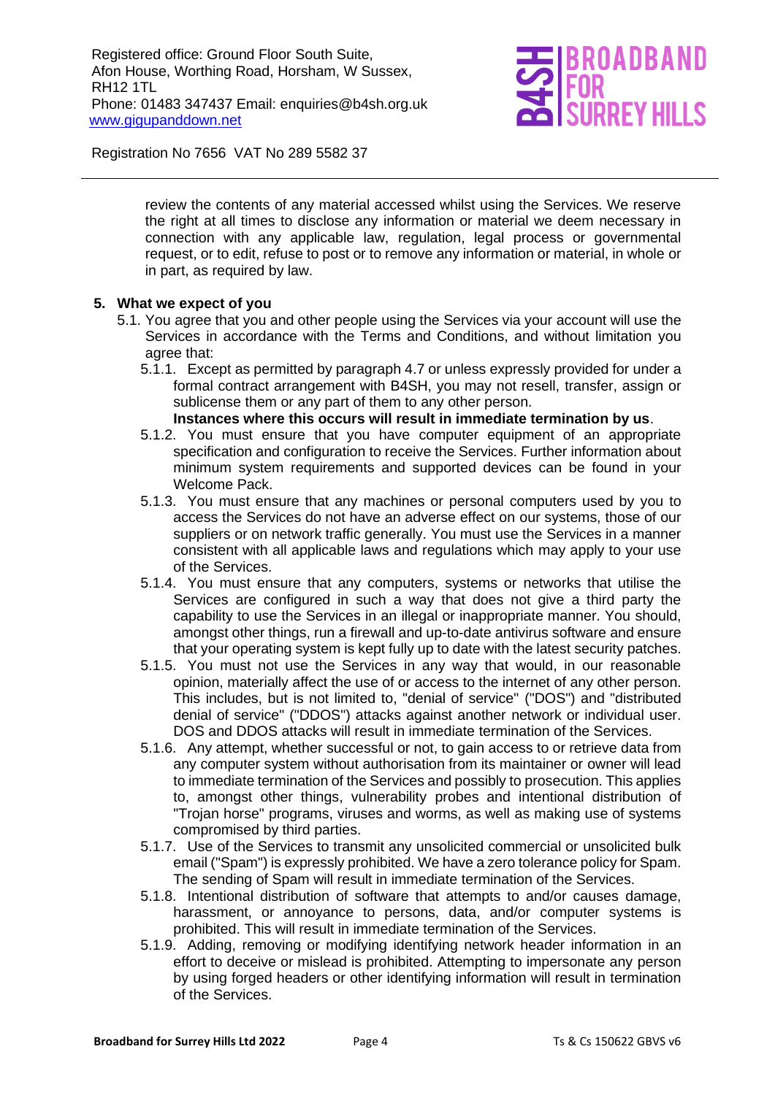

Registration No 7656 VAT No 289 5582 37

review the contents of any material accessed whilst using the Services. We reserve the right at all times to disclose any information or material we deem necessary in connection with any applicable law, regulation, legal process or governmental request, or to edit, refuse to post or to remove any information or material, in whole or in part, as required by law.

#### **5. What we expect of you**

- 5.1. You agree that you and other people using the Services via your account will use the Services in accordance with the Terms and Conditions, and without limitation you agree that:
	- 5.1.1. Except as permitted by paragraph 4.7 or unless expressly provided for under a formal contract arrangement with B4SH, you may not resell, transfer, assign or sublicense them or any part of them to any other person.

#### **Instances where this occurs will result in immediate termination by us**.

- 5.1.2. You must ensure that you have computer equipment of an appropriate specification and configuration to receive the Services. Further information about minimum system requirements and supported devices can be found in your Welcome Pack.
- 5.1.3. You must ensure that any machines or personal computers used by you to access the Services do not have an adverse effect on our systems, those of our suppliers or on network traffic generally. You must use the Services in a manner consistent with all applicable laws and regulations which may apply to your use of the Services.
- 5.1.4. You must ensure that any computers, systems or networks that utilise the Services are configured in such a way that does not give a third party the capability to use the Services in an illegal or inappropriate manner. You should, amongst other things, run a firewall and up-to-date antivirus software and ensure that your operating system is kept fully up to date with the latest security patches.
- 5.1.5. You must not use the Services in any way that would, in our reasonable opinion, materially affect the use of or access to the internet of any other person. This includes, but is not limited to, "denial of service" ("DOS") and "distributed denial of service" ("DDOS") attacks against another network or individual user. DOS and DDOS attacks will result in immediate termination of the Services.
- 5.1.6. Any attempt, whether successful or not, to gain access to or retrieve data from any computer system without authorisation from its maintainer or owner will lead to immediate termination of the Services and possibly to prosecution. This applies to, amongst other things, vulnerability probes and intentional distribution of "Trojan horse" programs, viruses and worms, as well as making use of systems compromised by third parties.
- 5.1.7. Use of the Services to transmit any unsolicited commercial or unsolicited bulk email ("Spam") is expressly prohibited. We have a zero tolerance policy for Spam. The sending of Spam will result in immediate termination of the Services.
- 5.1.8. Intentional distribution of software that attempts to and/or causes damage, harassment, or annoyance to persons, data, and/or computer systems is prohibited. This will result in immediate termination of the Services.
- 5.1.9. Adding, removing or modifying identifying network header information in an effort to deceive or mislead is prohibited. Attempting to impersonate any person by using forged headers or other identifying information will result in termination of the Services.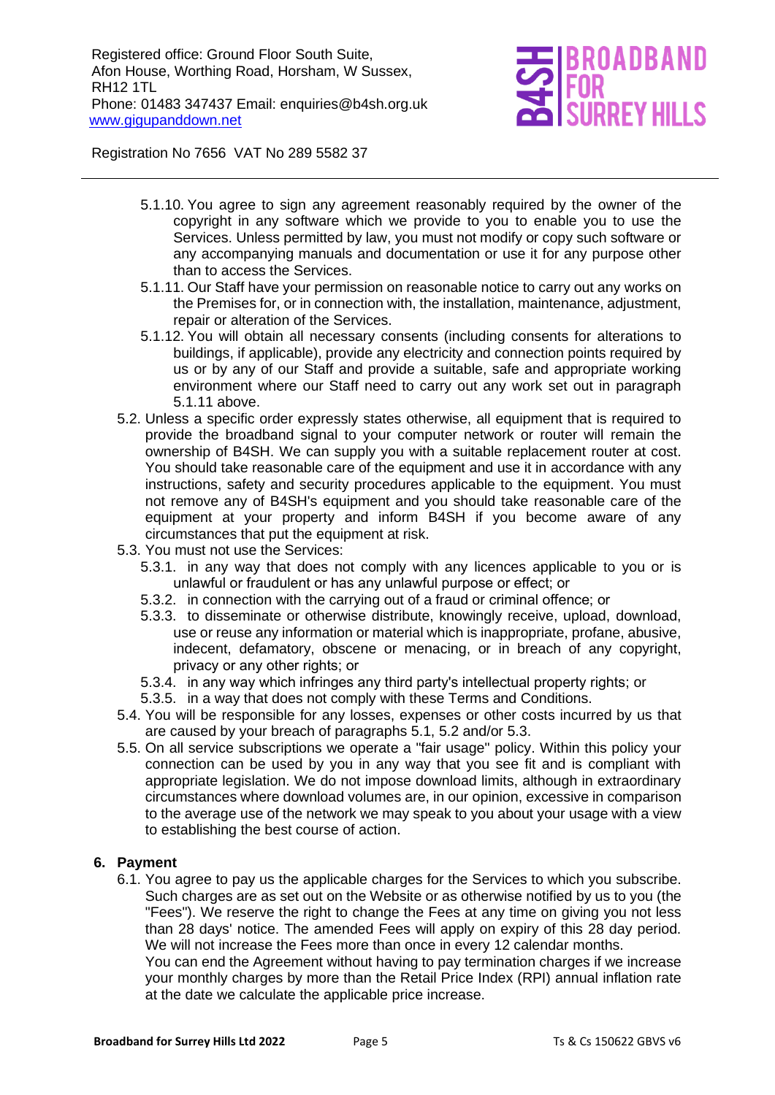# IO A DR A ND **REY HIL**

Registration No 7656 VAT No 289 5582 37

- 5.1.10. You agree to sign any agreement reasonably required by the owner of the copyright in any software which we provide to you to enable you to use the Services. Unless permitted by law, you must not modify or copy such software or any accompanying manuals and documentation or use it for any purpose other than to access the Services.
- 5.1.11. Our Staff have your permission on reasonable notice to carry out any works on the Premises for, or in connection with, the installation, maintenance, adjustment, repair or alteration of the Services.
- 5.1.12. You will obtain all necessary consents (including consents for alterations to buildings, if applicable), provide any electricity and connection points required by us or by any of our Staff and provide a suitable, safe and appropriate working environment where our Staff need to carry out any work set out in paragraph 5.1.11 above.
- 5.2. Unless a specific order expressly states otherwise, all equipment that is required to provide the broadband signal to your computer network or router will remain the ownership of B4SH. We can supply you with a suitable replacement router at cost. You should take reasonable care of the equipment and use it in accordance with any instructions, safety and security procedures applicable to the equipment. You must not remove any of B4SH's equipment and you should take reasonable care of the equipment at your property and inform B4SH if you become aware of any circumstances that put the equipment at risk.
- 5.3. You must not use the Services:
	- 5.3.1. in any way that does not comply with any licences applicable to you or is unlawful or fraudulent or has any unlawful purpose or effect; or
	- 5.3.2. in connection with the carrying out of a fraud or criminal offence; or
	- 5.3.3. to disseminate or otherwise distribute, knowingly receive, upload, download, use or reuse any information or material which is inappropriate, profane, abusive, indecent, defamatory, obscene or menacing, or in breach of any copyright, privacy or any other rights; or
	- 5.3.4. in any way which infringes any third party's intellectual property rights; or
	- 5.3.5. in a way that does not comply with these Terms and Conditions.
- 5.4. You will be responsible for any losses, expenses or other costs incurred by us that are caused by your breach of paragraphs 5.1, 5.2 and/or 5.3.
- 5.5. On all service subscriptions we operate a "fair usage" policy. Within this policy your connection can be used by you in any way that you see fit and is compliant with appropriate legislation. We do not impose download limits, although in extraordinary circumstances where download volumes are, in our opinion, excessive in comparison to the average use of the network we may speak to you about your usage with a view to establishing the best course of action.

#### **6. Payment**

6.1. You agree to pay us the applicable charges for the Services to which you subscribe. Such charges are as set out on the Website or as otherwise notified by us to you (the "Fees"). We reserve the right to change the Fees at any time on giving you not less than 28 days' notice. The amended Fees will apply on expiry of this 28 day period. We will not increase the Fees more than once in every 12 calendar months.

You can end the Agreement without having to pay termination charges if we increase your monthly charges by more than the Retail Price Index (RPI) annual inflation rate at the date we calculate the applicable price increase.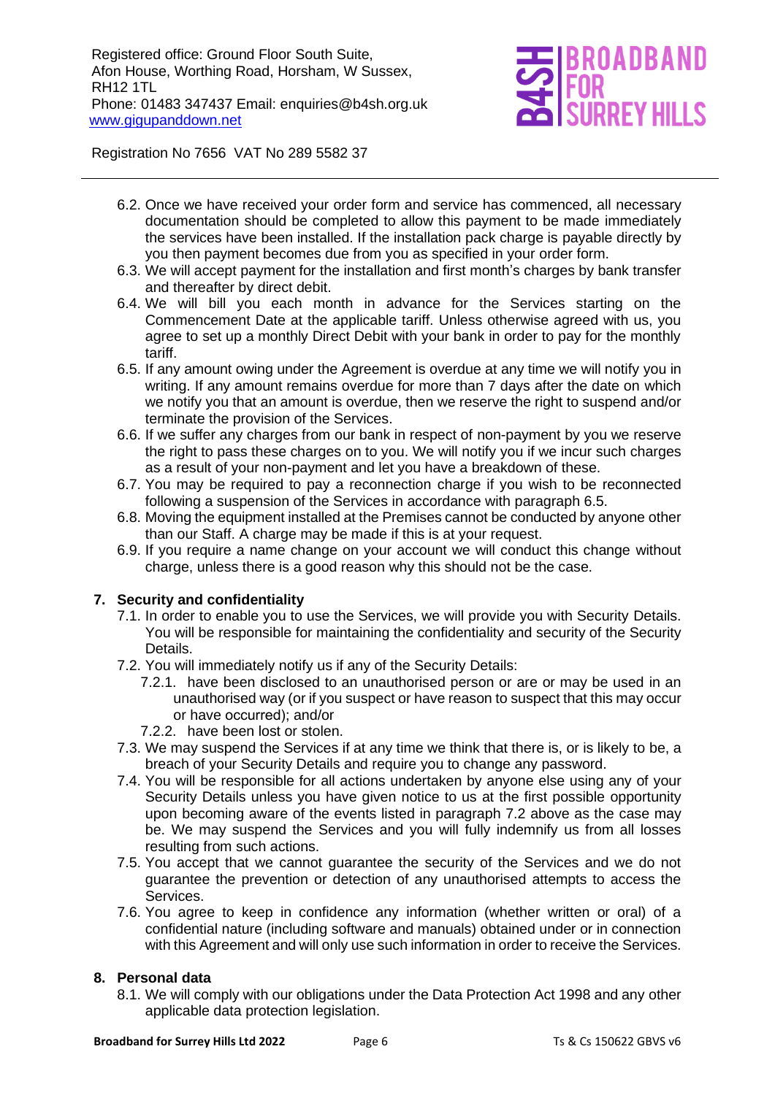# ROADBAND **RREY HIL**

Registration No 7656 VAT No 289 5582 37

- 6.2. Once we have received your order form and service has commenced, all necessary documentation should be completed to allow this payment to be made immediately the services have been installed. If the installation pack charge is payable directly by you then payment becomes due from you as specified in your order form.
- 6.3. We will accept payment for the installation and first month's charges by bank transfer and thereafter by direct debit.
- 6.4. We will bill you each month in advance for the Services starting on the Commencement Date at the applicable tariff. Unless otherwise agreed with us, you agree to set up a monthly Direct Debit with your bank in order to pay for the monthly tariff.
- 6.5. If any amount owing under the Agreement is overdue at any time we will notify you in writing. If any amount remains overdue for more than 7 days after the date on which we notify you that an amount is overdue, then we reserve the right to suspend and/or terminate the provision of the Services.
- 6.6. If we suffer any charges from our bank in respect of non-payment by you we reserve the right to pass these charges on to you. We will notify you if we incur such charges as a result of your non-payment and let you have a breakdown of these.
- 6.7. You may be required to pay a reconnection charge if you wish to be reconnected following a suspension of the Services in accordance with paragraph 6.5.
- 6.8. Moving the equipment installed at the Premises cannot be conducted by anyone other than our Staff. A charge may be made if this is at your request.
- 6.9. If you require a name change on your account we will conduct this change without charge, unless there is a good reason why this should not be the case.

#### **7. Security and confidentiality**

- 7.1. In order to enable you to use the Services, we will provide you with Security Details. You will be responsible for maintaining the confidentiality and security of the Security Details.
- 7.2. You will immediately notify us if any of the Security Details:
	- 7.2.1. have been disclosed to an unauthorised person or are or may be used in an unauthorised way (or if you suspect or have reason to suspect that this may occur or have occurred); and/or
	- 7.2.2. have been lost or stolen.
- 7.3. We may suspend the Services if at any time we think that there is, or is likely to be, a breach of your Security Details and require you to change any password.
- 7.4. You will be responsible for all actions undertaken by anyone else using any of your Security Details unless you have given notice to us at the first possible opportunity upon becoming aware of the events listed in paragraph 7.2 above as the case may be. We may suspend the Services and you will fully indemnify us from all losses resulting from such actions.
- 7.5. You accept that we cannot guarantee the security of the Services and we do not guarantee the prevention or detection of any unauthorised attempts to access the Services.
- 7.6. You agree to keep in confidence any information (whether written or oral) of a confidential nature (including software and manuals) obtained under or in connection with this Agreement and will only use such information in order to receive the Services.

#### **8. Personal data**

8.1. We will comply with our obligations under the Data Protection Act 1998 and any other applicable data protection legislation.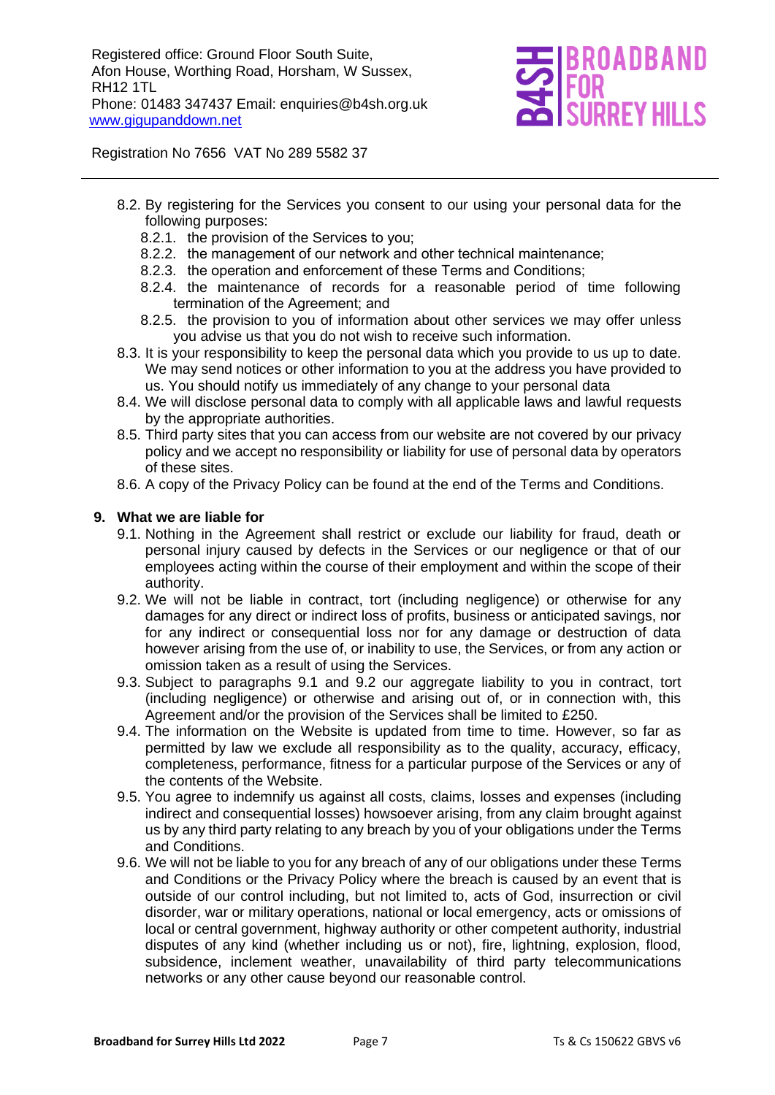

Registration No 7656 VAT No 289 5582 37

- 8.2. By registering for the Services you consent to our using your personal data for the following purposes:
	- 8.2.1. the provision of the Services to you;
	- 8.2.2. the management of our network and other technical maintenance;
	- 8.2.3. the operation and enforcement of these Terms and Conditions;
	- 8.2.4. the maintenance of records for a reasonable period of time following termination of the Agreement; and
	- 8.2.5. the provision to you of information about other services we may offer unless you advise us that you do not wish to receive such information.
- 8.3. It is your responsibility to keep the personal data which you provide to us up to date. We may send notices or other information to you at the address you have provided to us. You should notify us immediately of any change to your personal data
- 8.4. We will disclose personal data to comply with all applicable laws and lawful requests by the appropriate authorities.
- 8.5. Third party sites that you can access from our website are not covered by our privacy policy and we accept no responsibility or liability for use of personal data by operators of these sites.
- 8.6. A copy of the Privacy Policy can be found at the end of the Terms and Conditions.

#### **9. What we are liable for**

- 9.1. Nothing in the Agreement shall restrict or exclude our liability for fraud, death or personal injury caused by defects in the Services or our negligence or that of our employees acting within the course of their employment and within the scope of their authority.
- 9.2. We will not be liable in contract, tort (including negligence) or otherwise for any damages for any direct or indirect loss of profits, business or anticipated savings, nor for any indirect or consequential loss nor for any damage or destruction of data however arising from the use of, or inability to use, the Services, or from any action or omission taken as a result of using the Services.
- 9.3. Subject to paragraphs 9.1 and 9.2 our aggregate liability to you in contract, tort (including negligence) or otherwise and arising out of, or in connection with, this Agreement and/or the provision of the Services shall be limited to £250.
- 9.4. The information on the Website is updated from time to time. However, so far as permitted by law we exclude all responsibility as to the quality, accuracy, efficacy, completeness, performance, fitness for a particular purpose of the Services or any of the contents of the Website.
- 9.5. You agree to indemnify us against all costs, claims, losses and expenses (including indirect and consequential losses) howsoever arising, from any claim brought against us by any third party relating to any breach by you of your obligations under the Terms and Conditions.
- 9.6. We will not be liable to you for any breach of any of our obligations under these Terms and Conditions or the Privacy Policy where the breach is caused by an event that is outside of our control including, but not limited to, acts of God, insurrection or civil disorder, war or military operations, national or local emergency, acts or omissions of local or central government, highway authority or other competent authority, industrial disputes of any kind (whether including us or not), fire, lightning, explosion, flood, subsidence, inclement weather, unavailability of third party telecommunications networks or any other cause beyond our reasonable control.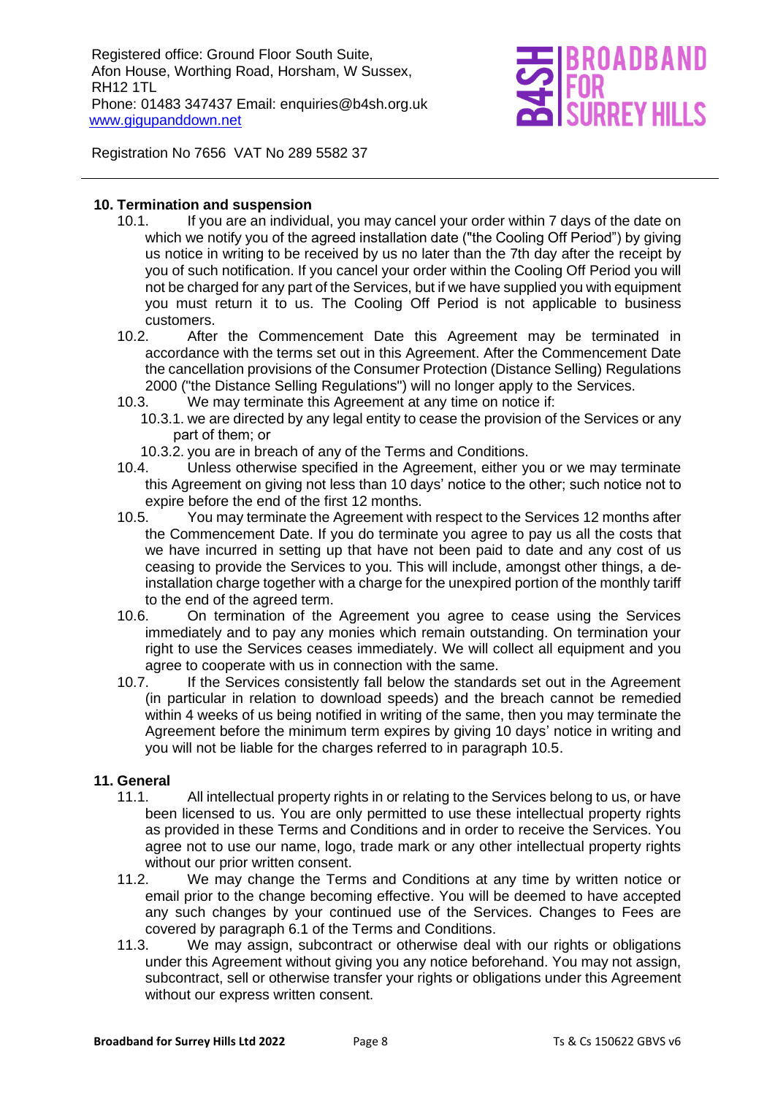# **REY HIL**

Registration No 7656 VAT No 289 5582 37

#### **10. Termination and suspension**

- 10.1. If you are an individual, you may cancel your order within 7 days of the date on which we notify you of the agreed installation date ("the Cooling Off Period") by giving us notice in writing to be received by us no later than the 7th day after the receipt by you of such notification. If you cancel your order within the Cooling Off Period you will not be charged for any part of the Services, but if we have supplied you with equipment you must return it to us. The Cooling Off Period is not applicable to business customers.
- 10.2. After the Commencement Date this Agreement may be terminated in accordance with the terms set out in this Agreement. After the Commencement Date the cancellation provisions of the Consumer Protection (Distance Selling) Regulations 2000 ("the Distance Selling Regulations") will no longer apply to the Services.
- 10.3. We may terminate this Agreement at any time on notice if:
	- 10.3.1. we are directed by any legal entity to cease the provision of the Services or any part of them; or
	- 10.3.2. you are in breach of any of the Terms and Conditions.
- 10.4. Unless otherwise specified in the Agreement, either you or we may terminate this Agreement on giving not less than 10 days' notice to the other; such notice not to expire before the end of the first 12 months.
- 10.5. You may terminate the Agreement with respect to the Services 12 months after the Commencement Date. If you do terminate you agree to pay us all the costs that we have incurred in setting up that have not been paid to date and any cost of us ceasing to provide the Services to you. This will include, amongst other things, a deinstallation charge together with a charge for the unexpired portion of the monthly tariff to the end of the agreed term.
- 10.6. On termination of the Agreement you agree to cease using the Services immediately and to pay any monies which remain outstanding. On termination your right to use the Services ceases immediately. We will collect all equipment and you agree to cooperate with us in connection with the same.
- 10.7. If the Services consistently fall below the standards set out in the Agreement (in particular in relation to download speeds) and the breach cannot be remedied within 4 weeks of us being notified in writing of the same, then you may terminate the Agreement before the minimum term expires by giving 10 days' notice in writing and you will not be liable for the charges referred to in paragraph 10.5.

#### **11. General**

- 11.1. All intellectual property rights in or relating to the Services belong to us, or have been licensed to us. You are only permitted to use these intellectual property rights as provided in these Terms and Conditions and in order to receive the Services. You agree not to use our name, logo, trade mark or any other intellectual property rights without our prior written consent.
- 11.2. We may change the Terms and Conditions at any time by written notice or email prior to the change becoming effective. You will be deemed to have accepted any such changes by your continued use of the Services. Changes to Fees are covered by paragraph 6.1 of the Terms and Conditions.
- 11.3. We may assign, subcontract or otherwise deal with our rights or obligations under this Agreement without giving you any notice beforehand. You may not assign, subcontract, sell or otherwise transfer your rights or obligations under this Agreement without our express written consent.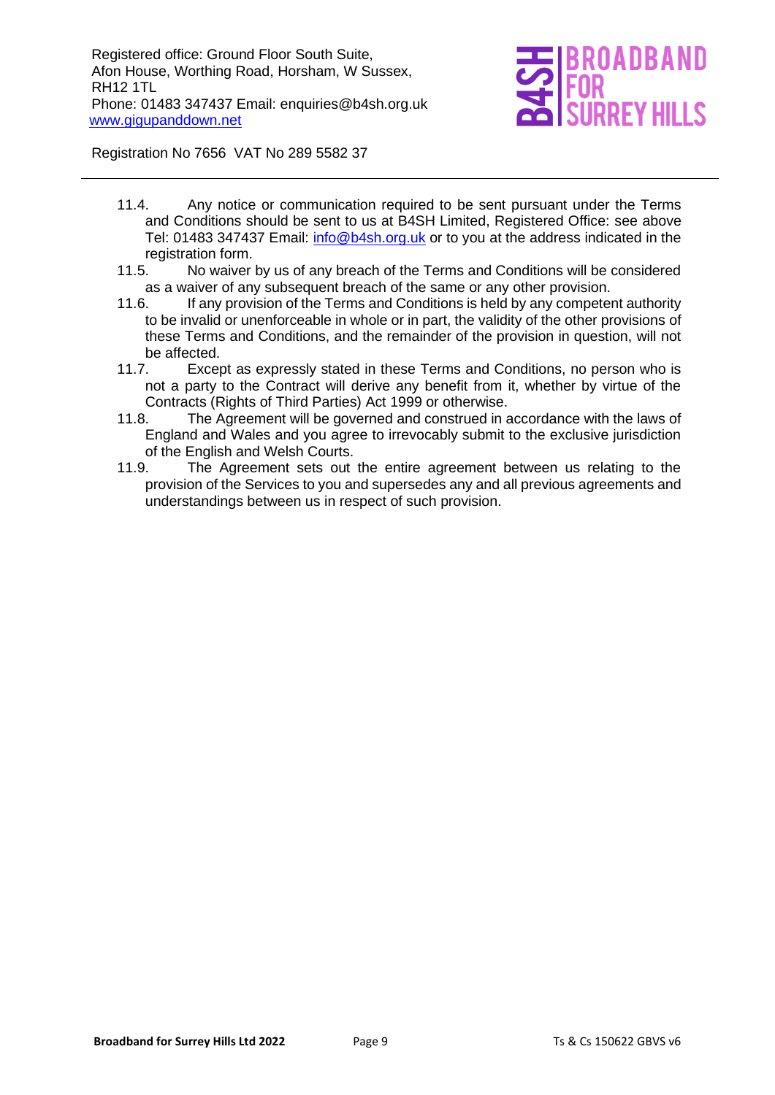

Registration No 7656 VAT No 289 5582 37

- 11.4. Any notice or communication required to be sent pursuant under the Terms and Conditions should be sent to us at B4SH Limited, Registered Office: see above Tel: 01483 347437 Email: [info@b4sh.org.uk](mailto:info@b4sh.org.uk) or to you at the address indicated in the registration form.
- 11.5. No waiver by us of any breach of the Terms and Conditions will be considered as a waiver of any subsequent breach of the same or any other provision.
- 11.6. If any provision of the Terms and Conditions is held by any competent authority to be invalid or unenforceable in whole or in part, the validity of the other provisions of these Terms and Conditions, and the remainder of the provision in question, will not be affected.
- 11.7. Except as expressly stated in these Terms and Conditions, no person who is not a party to the Contract will derive any benefit from it, whether by virtue of the Contracts (Rights of Third Parties) Act 1999 or otherwise.
- 11.8. The Agreement will be governed and construed in accordance with the laws of England and Wales and you agree to irrevocably submit to the exclusive jurisdiction of the English and Welsh Courts.
- 11.9. The Agreement sets out the entire agreement between us relating to the provision of the Services to you and supersedes any and all previous agreements and understandings between us in respect of such provision.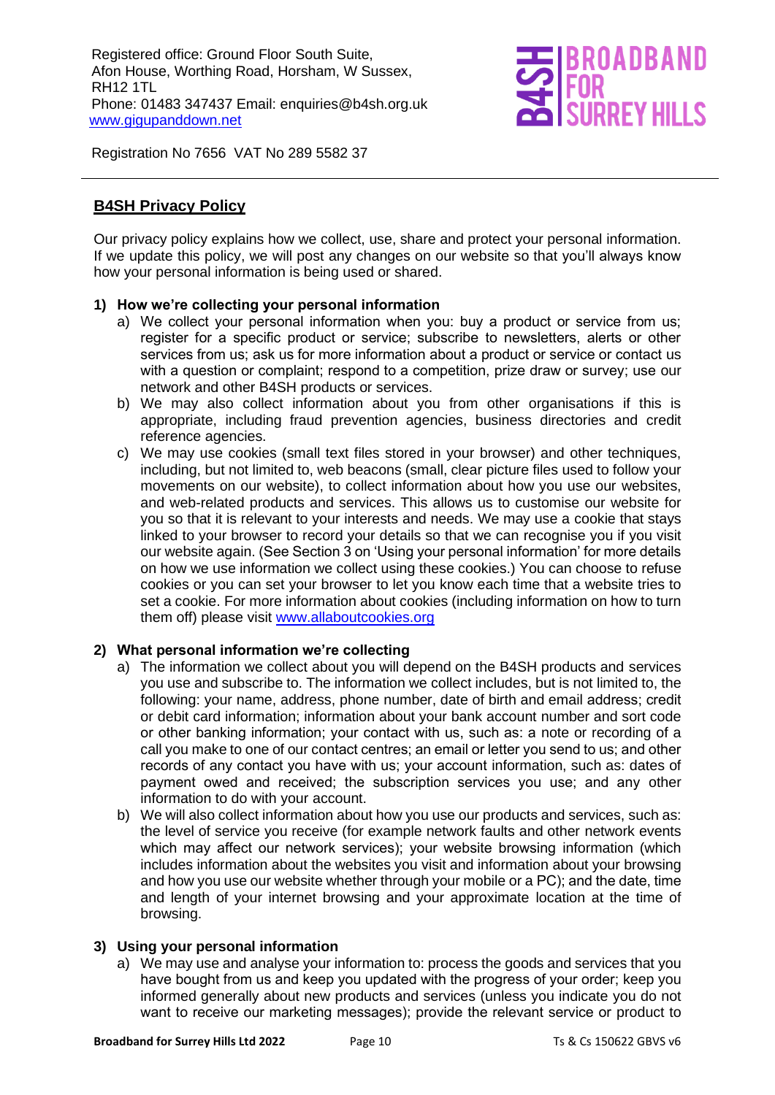

Registration No 7656 VAT No 289 5582 37

## **B4SH Privacy Policy**

Our privacy policy explains how we collect, use, share and protect your personal information. If we update this policy, we will post any changes on our website so that you'll always know how your personal information is being used or shared.

#### **1) How we're collecting your personal information**

- a) We collect your personal information when you: buy a product or service from us; register for a specific product or service; subscribe to newsletters, alerts or other services from us; ask us for more information about a product or service or contact us with a question or complaint; respond to a competition, prize draw or survey; use our network and other B4SH products or services.
- b) We may also collect information about you from other organisations if this is appropriate, including fraud prevention agencies, business directories and credit reference agencies.
- c) We may use cookies (small text files stored in your browser) and other techniques, including, but not limited to, web beacons (small, clear picture files used to follow your movements on our website), to collect information about how you use our websites, and web-related products and services. This allows us to customise our website for you so that it is relevant to your interests and needs. We may use a cookie that stays linked to your browser to record your details so that we can recognise you if you visit our website again. (See Section 3 on 'Using your personal information' for more details on how we use information we collect using these cookies.) You can choose to refuse cookies or you can set your browser to let you know each time that a website tries to set a cookie. For more information about cookies (including information on how to turn them off) please visit [www.allaboutcookies.org](http://www.allaboutcookies.org/)

#### **2) What personal information we're collecting**

- a) The information we collect about you will depend on the B4SH products and services you use and subscribe to. The information we collect includes, but is not limited to, the following: your name, address, phone number, date of birth and email address; credit or debit card information; information about your bank account number and sort code or other banking information; your contact with us, such as: a note or recording of a call you make to one of our contact centres; an email or letter you send to us; and other records of any contact you have with us; your account information, such as: dates of payment owed and received; the subscription services you use; and any other information to do with your account.
- b) We will also collect information about how you use our products and services, such as: the level of service you receive (for example network faults and other network events which may affect our network services); your website browsing information (which includes information about the websites you visit and information about your browsing and how you use our website whether through your mobile or a PC); and the date, time and length of your internet browsing and your approximate location at the time of browsing.

#### **3) Using your personal information**

a) We may use and analyse your information to: process the goods and services that you have bought from us and keep you updated with the progress of your order; keep you informed generally about new products and services (unless you indicate you do not want to receive our marketing messages); provide the relevant service or product to